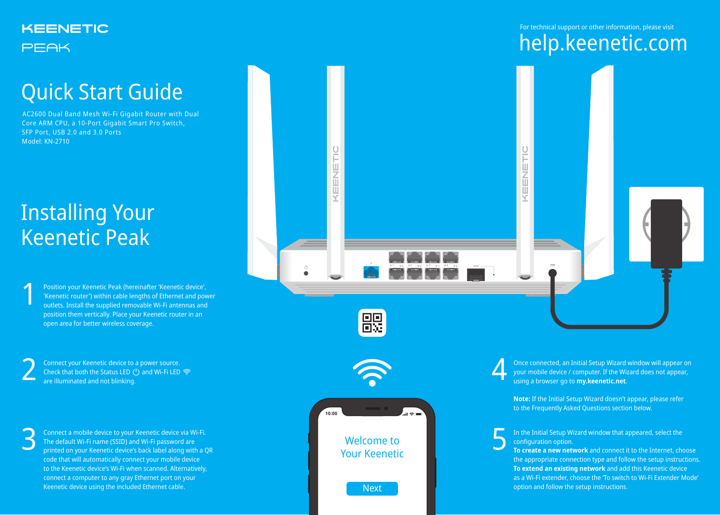# **KEENETIC PEAK**

# Quick Start Guide

# For technical support or other information, please visit

# help.keenetic.com



AC2600 Dual Band Mesh Wi-Fi Gigabit Router with Dual Core ARM CPU, a 10-Port Gigabit Smart Pro Switch, SFP Port, USB 2.0 and 3.0 Ports Model: KN-2710

# Installing Your Keenetic Peak

Sonnect a mobile device to your Keenetic device via Wi-Fi.<br>The default Wi-Fi name (SSID) and Wi-Fi password are<br>printed on your Keenetic device's back label along with a QR The default Wi-Fi name (SSID) and Wi-Fi password are code that will automatically connect your mobile device to the Keenetic device's Wi-Fi when scanned. Alternatively, сonnect a computer to any gray Ethernet port on your Keenetic device using the included Ethernet cable.

Connect your Keenetic device to a power source.<br>Check that both the Status LED (<sup>1</sup>) and Wi-Fi LED<br>are illuminated and not blinking. Check that both the Status LED  $\bigcirc$  and Wi-Fi LED  $\widehat{\mathcal{P}}$ are illuminated and not blinking.

**1** Position your Keenetic Peak (hereinafter 'Keenetic device', 'Keenetic router') within cable lengths of Ethernet and power outlets. Install the supplied removable Wi-Fi antennas and position them vertically. Place your Keenetic router in an open area for better wireless coverage.